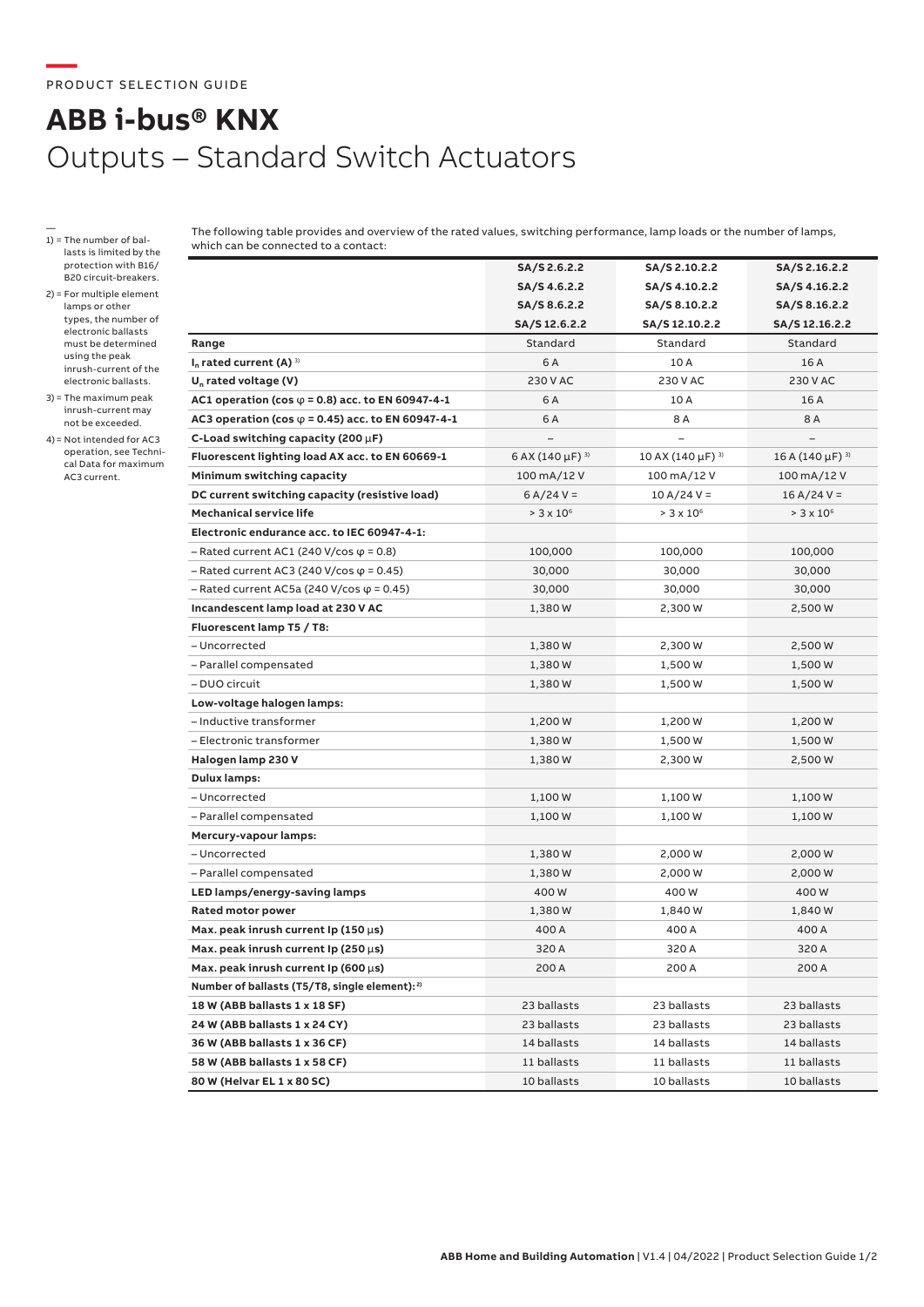## **ABB i-bus® KNX** Outputs – Standard Switch Actuators

- 1) = The number of ballasts is limited by the protection with B16/ B20 circuit-breakers.
- 2) = For multiple element lamps or other types, the number of electronic ballasts must be determined using the peak inrush-current of the electronic ballasts.
- 3) = The maximum peak inrush-current may not be exceeded.
- 4)= Not intended for AC3 operation, see Technical Data for maximum AC3 current.

The following table provides and overview of the rated values, switching performance, lamp loads or the number of lamps, which can be connected to a contact:

|                                                           | SA/S 2.6.2.2                     | SA/S 2.10.2.2                     | SA/S 2.16.2.2                    |
|-----------------------------------------------------------|----------------------------------|-----------------------------------|----------------------------------|
|                                                           | SA/S 4.6.2.2                     | SA/S 4.10.2.2                     | SA/S 4.16.2.2                    |
|                                                           | SA/S 8.6.2.2                     | SA/S 8.10.2.2                     | SA/S 8.16.2.2                    |
|                                                           | SA/S 12.6.2.2                    | SA/S 12.10.2.2                    | SA/S 12.16.2.2                   |
| Range                                                     | Standard                         | Standard                          | Standard                         |
| $I_n$ rated current (A) $3$                               | 6 A                              | 10 A                              | 16 A                             |
| $U_n$ rated voltage (V)                                   | 230 V AC                         | 230 V AC                          | 230 V AC                         |
| AC1 operation (cos $\varphi$ = 0.8) acc. to EN 60947-4-1  | 6 A                              | 10 A                              | 16 A                             |
| AC3 operation (cos $\varphi$ = 0.45) acc. to EN 60947-4-1 | 6 A                              | 8 A                               | 8 A                              |
| C-Load switching capacity (200 $\mu$ F)                   |                                  |                                   |                                  |
| Fluorescent lighting load AX acc. to EN 60669-1           | 6 AX (140 $\mu$ F) <sup>3)</sup> | 10 AX (140 $\mu$ F) <sup>3)</sup> | 16 A (140 $\mu$ F) <sup>3)</sup> |
| Minimum switching capacity                                | 100 mA/12 V                      | 100 mA/12 V                       | 100 mA/12 V                      |
| DC current switching capacity (resistive load)            | $6 A/24 V =$                     | $10 A/24 V =$                     | $16 A/24 V =$                    |
| <b>Mechanical service life</b>                            | $> 3 \times 10^6$                | $> 3 \times 10^6$                 | $> 3 \times 10^{6}$              |
| Electronic endurance acc. to IEC 60947-4-1:               |                                  |                                   |                                  |
| $-$ Rated current AC1 (240 V/cos $\varphi$ = 0.8)         | 100,000                          | 100,000                           | 100,000                          |
| $-$ Rated current AC3 (240 V/cos $\varphi$ = 0.45)        | 30,000                           | 30,000                            | 30,000                           |
| $-$ Rated current AC5a (240 V/cos $\varphi$ = 0.45)       | 30,000                           | 30,000                            | 30,000                           |
| Incandescent lamp load at 230 V AC                        | 1,380W                           | 2,300 W                           | 2,500 W                          |
| Fluorescent lamp T5 / T8:                                 |                                  |                                   |                                  |
| - Uncorrected                                             | 1,380W                           | 2,300 W                           | 2,500 W                          |
| - Parallel compensated                                    | 1,380W                           | 1,500 W                           | 1,500 W                          |
| – DUO circuit                                             | 1,380W                           | 1,500 W                           | 1,500 W                          |
| Low-voltage halogen lamps:                                |                                  |                                   |                                  |
| - Inductive transformer                                   | 1,200 W                          | 1,200 W                           | 1,200 W                          |
| - Electronic transformer                                  | 1,380 W                          | 1,500 W                           | 1,500 W                          |
| Halogen lamp 230 V                                        | 1,380 W                          | 2,300 W                           | 2,500 W                          |
| <b>Dulux lamps:</b>                                       |                                  |                                   |                                  |
| - Uncorrected                                             | 1,100 W                          | 1,100 W                           | 1,100 W                          |
| - Parallel compensated                                    | 1,100 W                          | 1,100 W                           | 1,100 W                          |
| Mercury-vapour lamps:                                     |                                  |                                   |                                  |
| - Uncorrected                                             | 1,380 W                          | 2,000 W                           | 2,000 W                          |
| - Parallel compensated                                    | 1,380W                           | 2,000 W                           | 2,000 W                          |
| LED lamps/energy-saving lamps                             | 400W                             | 400 W                             | 400W                             |
| <b>Rated motor power</b>                                  | 1,380W                           | 1,840 W                           | 1,840 W                          |
| Max. peak inrush current Ip (150 $\mu$ s)                 | 400 A                            | 400 A                             | 400 A                            |
| Max. peak inrush current Ip (250 $\mu$ s)                 | 320 A                            | 320 A                             | 320 A                            |
| Max. peak inrush current Ip (600 $\mu$ s)                 | 200 A                            | 200 A                             | 200 A                            |
| Number of ballasts (T5/T8, single element): <sup>2)</sup> |                                  |                                   |                                  |
| 18 W (ABB ballasts 1 x 18 SF)                             | 23 ballasts                      | 23 ballasts                       | 23 ballasts                      |
| 24 W (ABB ballasts 1 x 24 CY)                             | 23 ballasts                      | 23 ballasts                       | 23 ballasts                      |
| 36 W (ABB ballasts 1 x 36 CF)                             | 14 ballasts                      | 14 ballasts                       | 14 ballasts                      |
| 58 W (ABB ballasts 1 x 58 CF)                             | 11 ballasts                      | 11 ballasts                       | 11 ballasts                      |
| 80 W (Helvar EL 1 x 80 SC)                                | 10 ballasts                      | 10 ballasts                       | 10 ballasts                      |